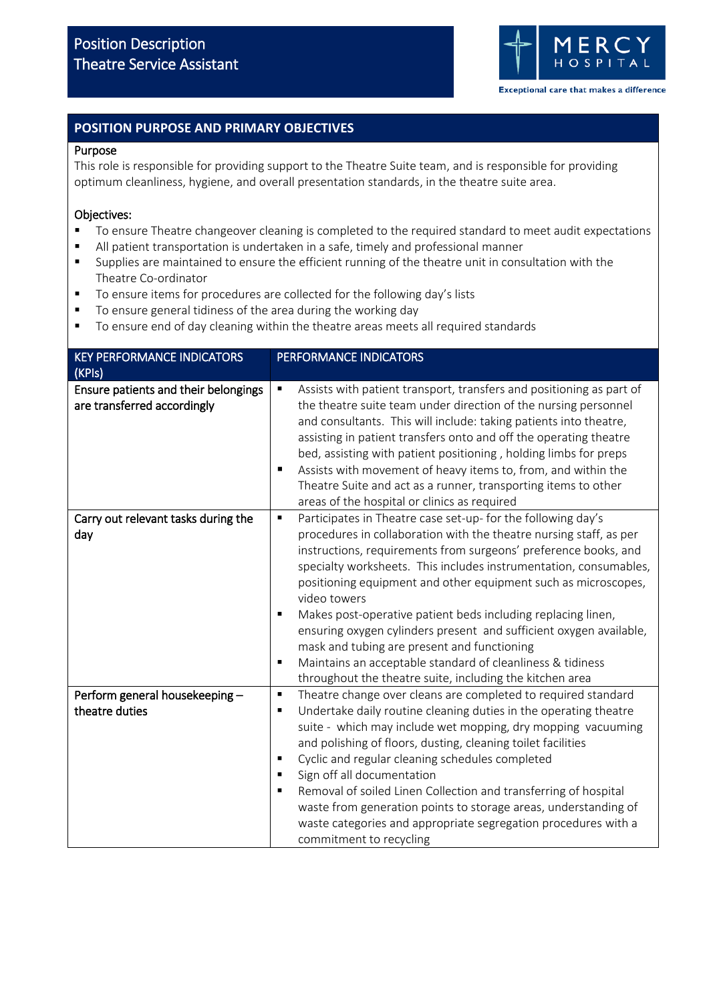

# **POSITION PURPOSE AND PRIMARY OBJECTIVES**

#### Purpose

This role is responsible for providing support to the Theatre Suite team, and is responsible for providing optimum cleanliness, hygiene, and overall presentation standards, in the theatre suite area.

# Objectives:

- To ensure Theatre changeover cleaning is completed to the required standard to meet audit expectations
- All patient transportation is undertaken in a safe, timely and professional manner
- Supplies are maintained to ensure the efficient running of the theatre unit in consultation with the Theatre Co-ordinator
- To ensure items for procedures are collected for the following day's lists
- To ensure general tidiness of the area during the working day
- To ensure end of day cleaning within the theatre areas meets all required standards

| <b>KEY PERFORMANCE INDICATORS</b><br>(KPIs)                         | PERFORMANCE INDICATORS                                                                                                                                                                                                                                                                                                                                                                                                                                                                                                                                                                                                                                                                |
|---------------------------------------------------------------------|---------------------------------------------------------------------------------------------------------------------------------------------------------------------------------------------------------------------------------------------------------------------------------------------------------------------------------------------------------------------------------------------------------------------------------------------------------------------------------------------------------------------------------------------------------------------------------------------------------------------------------------------------------------------------------------|
| Ensure patients and their belongings<br>are transferred accordingly | Assists with patient transport, transfers and positioning as part of<br>$\blacksquare$<br>the theatre suite team under direction of the nursing personnel<br>and consultants. This will include: taking patients into theatre,<br>assisting in patient transfers onto and off the operating theatre<br>bed, assisting with patient positioning, holding limbs for preps<br>Assists with movement of heavy items to, from, and within the<br>п<br>Theatre Suite and act as a runner, transporting items to other<br>areas of the hospital or clinics as required                                                                                                                       |
| Carry out relevant tasks during the<br>day                          | Participates in Theatre case set-up- for the following day's<br>٠<br>procedures in collaboration with the theatre nursing staff, as per<br>instructions, requirements from surgeons' preference books, and<br>specialty worksheets. This includes instrumentation, consumables,<br>positioning equipment and other equipment such as microscopes,<br>video towers<br>Makes post-operative patient beds including replacing linen,<br>ensuring oxygen cylinders present and sufficient oxygen available,<br>mask and tubing are present and functioning<br>Maintains an acceptable standard of cleanliness & tidiness<br>٠<br>throughout the theatre suite, including the kitchen area |
| Perform general housekeeping -<br>theatre duties                    | Theatre change over cleans are completed to required standard<br>$\blacksquare$<br>Undertake daily routine cleaning duties in the operating theatre<br>٠<br>suite - which may include wet mopping, dry mopping vacuuming<br>and polishing of floors, dusting, cleaning toilet facilities<br>Cyclic and regular cleaning schedules completed<br>٠<br>Sign off all documentation<br>$\blacksquare$<br>Removal of soiled Linen Collection and transferring of hospital<br>$\blacksquare$<br>waste from generation points to storage areas, understanding of<br>waste categories and appropriate segregation procedures with a<br>commitment to recycling                                 |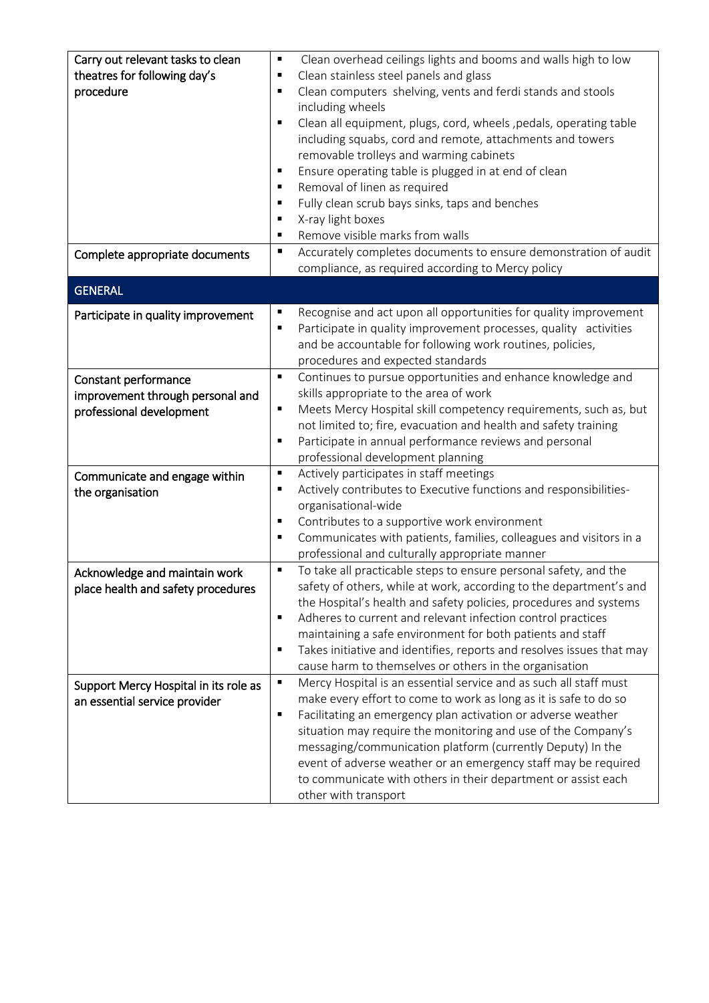| Carry out relevant tasks to clean     | Clean overhead ceilings lights and booms and walls high to low<br>٠                            |  |
|---------------------------------------|------------------------------------------------------------------------------------------------|--|
| theatres for following day's          | Clean stainless steel panels and glass<br>$\blacksquare$                                       |  |
| procedure                             | Clean computers shelving, vents and ferdi stands and stools<br>٠                               |  |
|                                       | including wheels                                                                               |  |
|                                       | Clean all equipment, plugs, cord, wheels, pedals, operating table<br>$\blacksquare$            |  |
|                                       | including squabs, cord and remote, attachments and towers                                      |  |
|                                       | removable trolleys and warming cabinets                                                        |  |
|                                       | Ensure operating table is plugged in at end of clean<br>$\blacksquare$                         |  |
|                                       | Removal of linen as required<br>٠                                                              |  |
|                                       | Fully clean scrub bays sinks, taps and benches<br>$\blacksquare$                               |  |
|                                       | X-ray light boxes<br>٠                                                                         |  |
|                                       | Remove visible marks from walls<br>٠                                                           |  |
| Complete appropriate documents        | Accurately completes documents to ensure demonstration of audit<br>$\blacksquare$              |  |
|                                       | compliance, as required according to Mercy policy                                              |  |
| <b>GENERAL</b>                        |                                                                                                |  |
|                                       |                                                                                                |  |
| Participate in quality improvement    | Recognise and act upon all opportunities for quality improvement<br>٠                          |  |
|                                       | Participate in quality improvement processes, quality activities<br>٠                          |  |
|                                       | and be accountable for following work routines, policies,                                      |  |
|                                       | procedures and expected standards                                                              |  |
| Constant performance                  | Continues to pursue opportunities and enhance knowledge and<br>٠                               |  |
| improvement through personal and      | skills appropriate to the area of work                                                         |  |
| professional development              | Meets Mercy Hospital skill competency requirements, such as, but<br>$\blacksquare$             |  |
|                                       | not limited to; fire, evacuation and health and safety training<br>٠                           |  |
|                                       | Participate in annual performance reviews and personal                                         |  |
|                                       | professional development planning<br>Actively participates in staff meetings<br>$\blacksquare$ |  |
| Communicate and engage within         | Actively contributes to Executive functions and responsibilities-<br>٠                         |  |
| the organisation                      | organisational-wide                                                                            |  |
|                                       | Contributes to a supportive work environment<br>$\blacksquare$                                 |  |
|                                       | Communicates with patients, families, colleagues and visitors in a<br>٠                        |  |
|                                       | professional and culturally appropriate manner                                                 |  |
| Acknowledge and maintain work         | To take all practicable steps to ensure personal safety, and the<br>٠                          |  |
| place health and safety procedures    | safety of others, while at work, according to the department's and                             |  |
|                                       | the Hospital's health and safety policies, procedures and systems                              |  |
|                                       | Adheres to current and relevant infection control practices<br>٠                               |  |
|                                       | maintaining a safe environment for both patients and staff                                     |  |
|                                       | Takes initiative and identifies, reports and resolves issues that may<br>٠                     |  |
|                                       | cause harm to themselves or others in the organisation                                         |  |
| Support Mercy Hospital in its role as | Mercy Hospital is an essential service and as such all staff must<br>٠                         |  |
| an essential service provider         | make every effort to come to work as long as it is safe to do so                               |  |
|                                       | Facilitating an emergency plan activation or adverse weather<br>$\blacksquare$                 |  |
|                                       | situation may require the monitoring and use of the Company's                                  |  |
|                                       | messaging/communication platform (currently Deputy) In the                                     |  |
|                                       | event of adverse weather or an emergency staff may be required                                 |  |
|                                       | to communicate with others in their department or assist each                                  |  |
|                                       | other with transport                                                                           |  |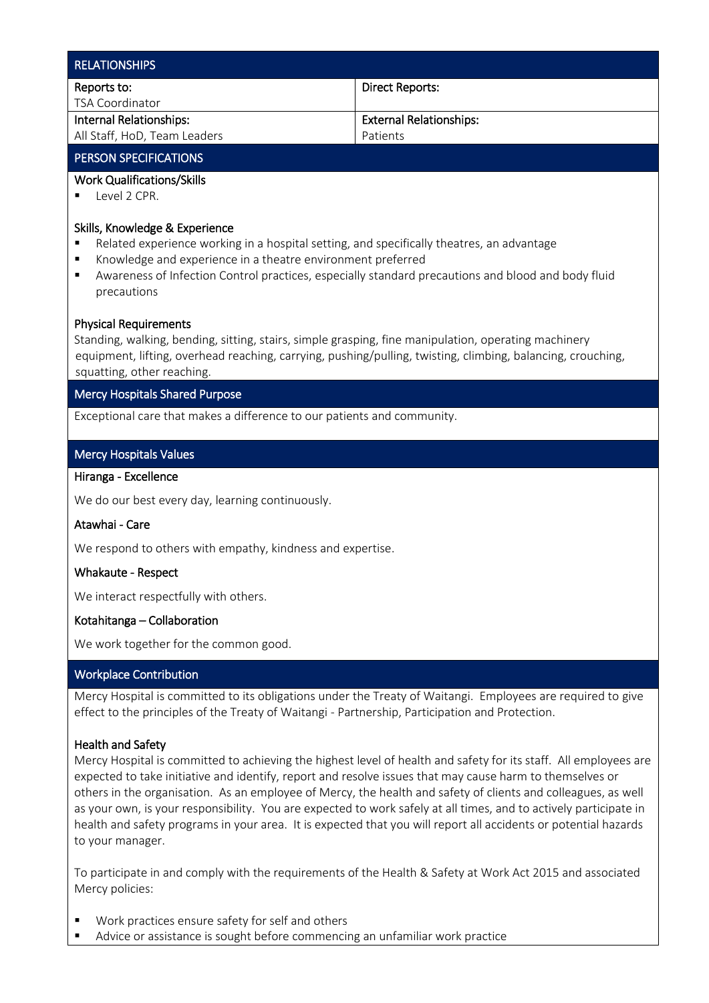| <b>RELATIONSHIPS</b>         |                                |
|------------------------------|--------------------------------|
| Reports to:                  | Direct Reports:                |
| TSA Coordinator              |                                |
| Internal Relationships:      | <b>External Relationships:</b> |
| All Staff, HoD, Team Leaders | Patients                       |

# PERSON SPECIFICATIONS

## Work Qualifications/Skills

Level 2 CPR.

#### Skills, Knowledge & Experience

- Related experience working in a hospital setting, and specifically theatres, an advantage
- Knowledge and experience in a theatre environment preferred
- Awareness of Infection Control practices, especially standard precautions and blood and body fluid precautions

#### Physical Requirements

Standing, walking, bending, sitting, stairs, simple grasping, fine manipulation, operating machinery equipment, lifting, overhead reaching, carrying, pushing/pulling, twisting, climbing, balancing, crouching, squatting, other reaching.

## Mercy Hospitals Shared Purpose

Exceptional care that makes a difference to our patients and community.

## Mercy Hospitals Values

# Hiranga - Excellence

We do our best every day, learning continuously.

#### Atawhai - Care

We respond to others with empathy, kindness and expertise.

# Whakaute - Respect

We interact respectfully with others.

#### Kotahitanga – Collaboration

We work together for the common good.

# Workplace Contribution

Mercy Hospital is committed to its obligations under the Treaty of Waitangi. Employees are required to give effect to the principles of the Treaty of Waitangi - Partnership, Participation and Protection.

## Health and Safety

Mercy Hospital is committed to achieving the highest level of health and safety for its staff. All employees are expected to take initiative and identify, report and resolve issues that may cause harm to themselves or others in the organisation. As an employee of Mercy, the health and safety of clients and colleagues, as well as your own, is your responsibility. You are expected to work safely at all times, and to actively participate in health and safety programs in your area. It is expected that you will report all accidents or potential hazards to your manager.

To participate in and comply with the requirements of the Health & Safety at Work Act 2015 and associated Mercy policies:

- Work practices ensure safety for self and others
- Advice or assistance is sought before commencing an unfamiliar work practice